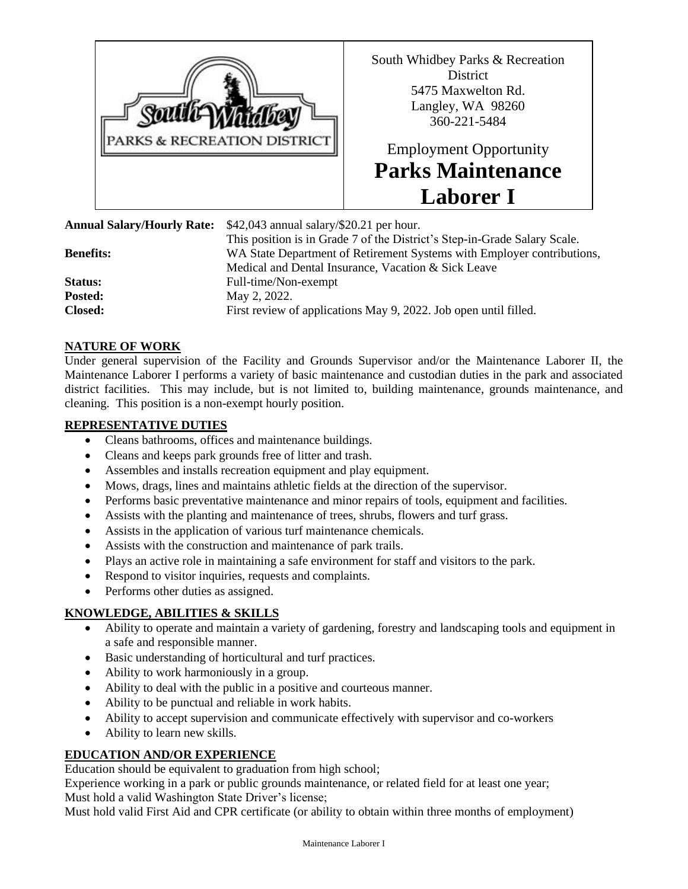

South Whidbey Parks & Recreation **District** 5475 Maxwelton Rd. Langley, WA 98260 360-221-5484

# Employment Opportunity **Parks Maintenance Laborer I**

This position is in Grade 7 of the District's Step-in-Grade Salary Scale.

**Annual Salary/Hourly Rate:** \$42,043 annual salary/\$20.21 per hour.

**Benefits:** WA State Department of Retirement Systems with Employer contributions,

Medical and Dental Insurance, Vacation & Sick Leave **Status:** Full-time/Non-exempt **Posted:** May 2, 2022. **Closed:** First review of applications May 9, 2022. Job open until filled.

#### **NATURE OF WORK**

Under general supervision of the Facility and Grounds Supervisor and/or the Maintenance Laborer II, the Maintenance Laborer I performs a variety of basic maintenance and custodian duties in the park and associated district facilities. This may include, but is not limited to, building maintenance, grounds maintenance, and cleaning. This position is a non-exempt hourly position.

#### **REPRESENTATIVE DUTIES**

- Cleans bathrooms, offices and maintenance buildings.
- Cleans and keeps park grounds free of litter and trash.
- Assembles and installs recreation equipment and play equipment.
- Mows, drags, lines and maintains athletic fields at the direction of the supervisor.
- Performs basic preventative maintenance and minor repairs of tools, equipment and facilities.
- Assists with the planting and maintenance of trees, shrubs, flowers and turf grass.
- Assists in the application of various turf maintenance chemicals.
- Assists with the construction and maintenance of park trails.
- Plays an active role in maintaining a safe environment for staff and visitors to the park.
- Respond to visitor inquiries, requests and complaints.
- Performs other duties as assigned.

#### **KNOWLEDGE, ABILITIES & SKILLS**

- Ability to operate and maintain a variety of gardening, forestry and landscaping tools and equipment in a safe and responsible manner.
- Basic understanding of horticultural and turf practices.
- Ability to work harmoniously in a group.
- Ability to deal with the public in a positive and courteous manner.
- Ability to be punctual and reliable in work habits.
- Ability to accept supervision and communicate effectively with supervisor and co-workers
- Ability to learn new skills.

#### **EDUCATION AND/OR EXPERIENCE**

Education should be equivalent to graduation from high school;

Experience working in a park or public grounds maintenance, or related field for at least one year; Must hold a valid Washington State Driver's license;

Must hold valid First Aid and CPR certificate (or ability to obtain within three months of employment)